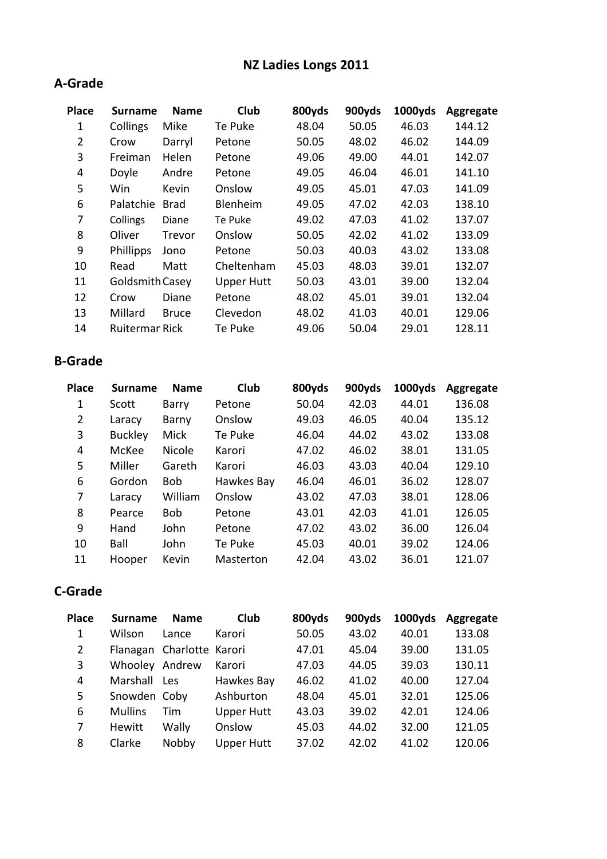## NZ Ladies Longs 2011

#### A-Grade

| <b>Place</b>   | <b>Surname</b>  | <b>Name</b>   | Club              | 800yds | 900yds | 1000yds | Aggregate |
|----------------|-----------------|---------------|-------------------|--------|--------|---------|-----------|
| 1              | Collings        | Mike          | Te Puke           | 48.04  | 50.05  | 46.03   | 144.12    |
| $\overline{2}$ | Crow            | Darryl        | Petone            | 50.05  | 48.02  | 46.02   | 144.09    |
| 3              | Freiman         | Helen         | Petone            | 49.06  | 49.00  | 44.01   | 142.07    |
| 4              | Doyle           | Andre         | Petone            | 49.05  | 46.04  | 46.01   | 141.10    |
| 5              | Win             | Kevin         | Onslow            | 49.05  | 45.01  | 47.03   | 141.09    |
| 6              | Palatchie       | <b>Brad</b>   | Blenheim          | 49.05  | 47.02  | 42.03   | 138.10    |
| 7              | Collings        | Diane         | Te Puke           | 49.02  | 47.03  | 41.02   | 137.07    |
| 8              | Oliver          | <b>Trevor</b> | Onslow            | 50.05  | 42.02  | 41.02   | 133.09    |
| 9              | Phillipps       | Jono          | Petone            | 50.03  | 40.03  | 43.02   | 133.08    |
| 10             | Read            | Matt          | Cheltenham        | 45.03  | 48.03  | 39.01   | 132.07    |
| 11             | Goldsmith Casey |               | <b>Upper Hutt</b> | 50.03  | 43.01  | 39.00   | 132.04    |
| 12             | Crow            | Diane         | Petone            | 48.02  | 45.01  | 39.01   | 132.04    |
| 13             | Millard         | <b>Bruce</b>  | Clevedon          | 48.02  | 41.03  | 40.01   | 129.06    |
| 14             | Ruitermar Rick  |               | Te Puke           | 49.06  | 50.04  | 29.01   | 128.11    |
|                |                 |               |                   |        |        |         |           |

#### B-Grade

| <b>Place</b> | <b>Surname</b> | <b>Name</b> | Club       | 800yds | 900yds | 1000yds | Aggregate |
|--------------|----------------|-------------|------------|--------|--------|---------|-----------|
| 1            | Scott          | Barry       | Petone     | 50.04  | 42.03  | 44.01   | 136.08    |
| 2            | Laracy         | Barny       | Onslow     | 49.03  | 46.05  | 40.04   | 135.12    |
| 3            | <b>Buckley</b> | <b>Mick</b> | Te Puke    | 46.04  | 44.02  | 43.02   | 133.08    |
| 4            | McKee          | Nicole      | Karori     | 47.02  | 46.02  | 38.01   | 131.05    |
| 5            | Miller         | Gareth      | Karori     | 46.03  | 43.03  | 40.04   | 129.10    |
| 6            | Gordon         | <b>Bob</b>  | Hawkes Bay | 46.04  | 46.01  | 36.02   | 128.07    |
| 7            | Laracy         | William     | Onslow     | 43.02  | 47.03  | 38.01   | 128.06    |
| 8            | Pearce         | <b>Bob</b>  | Petone     | 43.01  | 42.03  | 41.01   | 126.05    |
| 9            | Hand           | John        | Petone     | 47.02  | 43.02  | 36.00   | 126.04    |
| 10           | Ball           | John        | Te Puke    | 45.03  | 40.01  | 39.02   | 124.06    |
| 11           | Hooper         | Kevin       | Masterton  | 42.04  | 43.02  | 36.01   | 121.07    |

### C-Grade

| <b>Place</b> | <b>Surname</b> | <b>Name</b>               | Club              | 800yds | 900yds | 1000yds | Aggregate |
|--------------|----------------|---------------------------|-------------------|--------|--------|---------|-----------|
| 1            | Wilson         | Lance                     | Karori            | 50.05  | 43.02  | 40.01   | 133.08    |
| 2            |                | Flanagan Charlotte Karori |                   | 47.01  | 45.04  | 39.00   | 131.05    |
| 3            | Whooley Andrew |                           | Karori            | 47.03  | 44.05  | 39.03   | 130.11    |
| 4            | Marshall       | Les                       | Hawkes Bay        | 46.02  | 41.02  | 40.00   | 127.04    |
| 5            | Snowden Coby   |                           | Ashburton         | 48.04  | 45.01  | 32.01   | 125.06    |
| 6            | <b>Mullins</b> | Tim                       | <b>Upper Hutt</b> | 43.03  | 39.02  | 42.01   | 124.06    |
| 7            | <b>Hewitt</b>  | Wally                     | Onslow            | 45.03  | 44.02  | 32.00   | 121.05    |
| 8            | Clarke         | Nobby                     | <b>Upper Hutt</b> | 37.02  | 42.02  | 41.02   | 120.06    |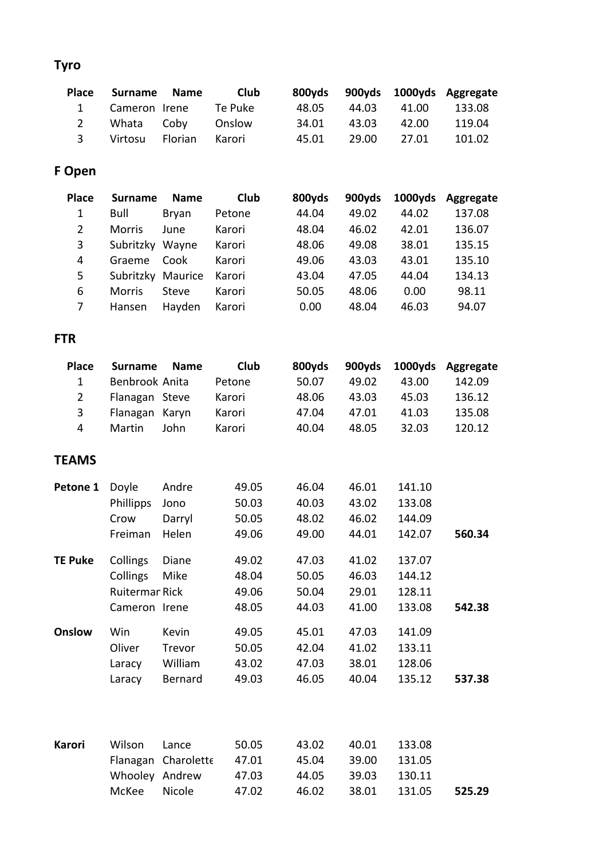# Tyro

| Place         | Surname Name      | <b>Club</b> |       |       |             | 800yds 900yds 1000yds Aggregate |
|---------------|-------------------|-------------|-------|-------|-------------|---------------------------------|
|               | 1 Cameron Irene   | Te Puke     | 48.05 |       | 44.03 41.00 | 133.08                          |
| 2             | Whata Coby Onslow |             | 34.01 | 43.03 | 42.00       | 119.04                          |
| $\mathcal{R}$ | Virtosu Florian   | – Karori    | 45.01 | 29.00 | 27.01       | 101.02                          |

## F Open

| <b>Place</b> | <b>Surname</b> | <b>Name</b> | Club   | 800yds | 900yds | 1000yds | Aggregate |
|--------------|----------------|-------------|--------|--------|--------|---------|-----------|
| 1            | Bull           | Bryan       | Petone | 44.04  | 49.02  | 44.02   | 137.08    |
| 2            | Morris         | June        | Karori | 48.04  | 46.02  | 42.01   | 136.07    |
| 3            | Subritzky      | Wayne       | Karori | 48.06  | 49.08  | 38.01   | 135.15    |
| 4            | Graeme         | Cook        | Karori | 49.06  | 43.03  | 43.01   | 135.10    |
| 5            | Subritzky      | Maurice     | Karori | 43.04  | 47.05  | 44.04   | 134.13    |
| 6            | <b>Morris</b>  | Steve       | Karori | 50.05  | 48.06  | 0.00    | 98.11     |
| 7            | Hansen         | Hayden      | Karori | 0.00   | 48.04  | 46.03   | 94.07     |
|              |                |             |        |        |        |         |           |

### FTR

| <b>Place</b>   | <b>Surname</b>        | <b>Name</b> | <b>Club</b> | 800yds | 900yds | 1000yds | Aggregate |
|----------------|-----------------------|-------------|-------------|--------|--------|---------|-----------|
| $\mathbf{1}$   | Benbrook Anita        |             | Petone      | 50.07  | 49.02  | 43.00   | 142.09    |
| $\overline{2}$ | Flanagan Steve        |             | Karori      | 48.06  | 43.03  | 45.03   | 136.12    |
| 3              | Flanagan Karyn        |             | Karori      | 47.04  | 47.01  | 41.03   | 135.08    |
| 4              | Martin                | John        | Karori      | 40.04  | 48.05  | 32.03   | 120.12    |
| <b>TEAMS</b>   |                       |             |             |        |        |         |           |
| Petone 1       | Doyle                 | Andre       | 49.05       | 46.04  | 46.01  | 141.10  |           |
|                | Phillipps             | Jono        | 50.03       | 40.03  | 43.02  | 133.08  |           |
|                | Crow                  | Darryl      | 50.05       | 48.02  | 46.02  | 144.09  |           |
|                | Freiman               | Helen       | 49.06       | 49.00  | 44.01  | 142.07  | 560.34    |
| <b>TE Puke</b> | Collings              | Diane       | 49.02       | 47.03  | 41.02  | 137.07  |           |
|                | Collings              | Mike        | 48.04       | 50.05  | 46.03  | 144.12  |           |
|                | <b>Ruitermar Rick</b> |             | 49.06       | 50.04  | 29.01  | 128.11  |           |
|                | Cameron Irene         |             | 48.05       | 44.03  | 41.00  | 133.08  | 542.38    |
| Onslow         | Win                   | Kevin       | 49.05       | 45.01  | 47.03  | 141.09  |           |
|                | Oliver                | Trevor      | 50.05       | 42.04  | 41.02  | 133.11  |           |
|                | Laracy                | William     | 43.02       | 47.03  | 38.01  | 128.06  |           |
|                | Laracy                | Bernard     | 49.03       | 46.05  | 40.04  | 135.12  | 537.38    |
|                |                       |             |             |        |        |         |           |
| <b>Karori</b>  | Wilson                | Lance       | 50.05       | 43.02  | 40.01  | 133.08  |           |
|                | Flanagan              | Charolette  | 47.01       | 45.04  | 39.00  | 131.05  |           |
|                | Whooley               | Andrew      | 47.03       | 44.05  | 39.03  | 130.11  |           |
|                | McKee                 | Nicole      | 47.02       | 46.02  | 38.01  | 131.05  | 525.29    |